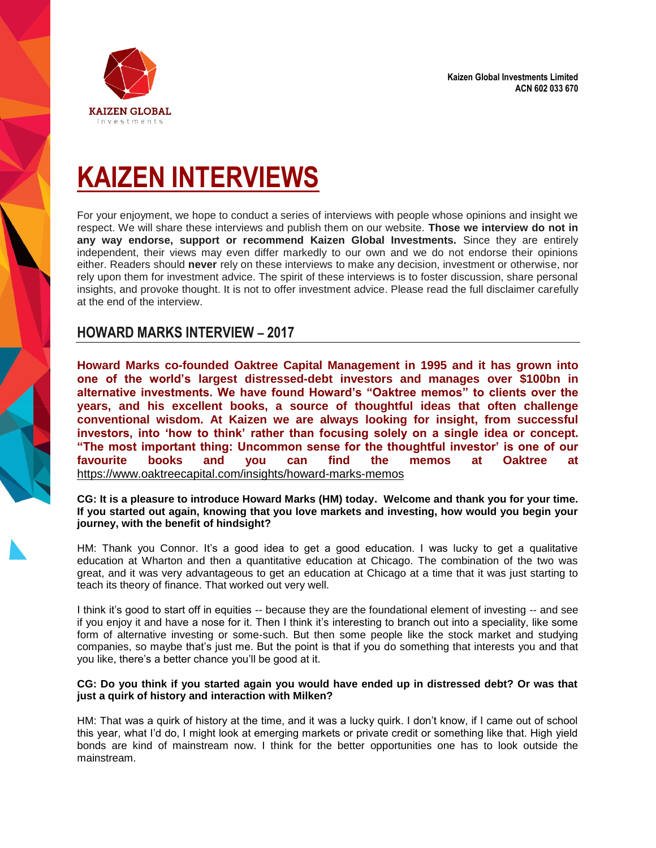**Kaizen Global Investments Limited ACN 602 033 670**



# **[KAIZEN INTERVIEWS](http://www.kaizenglobalinvestments.com/)**

For your enjoyment, we hope to conduct a series of interviews with people whose opinions and insight we respect. We will share these interviews and publish them on our website. **Those we interview do not in any way endorse, support or recommend Kaizen Global Investments.** Since they are entirely independent, their views may even differ markedly to our own and we do not endorse their opinions either. Readers should **never** rely on these interviews to make any decision, investment or otherwise, nor rely upon them for investment advice. The spirit of these interviews is to foster discussion, share personal insights, and provoke thought. It is not to offer investment advice. Please read the full disclaimer carefully at the end of the interview.

# **HOWARD MARKS INTERVIEW – 2017**

**Howard Marks co-founded Oaktree Capital Management in 1995 and it has grown into one of the world's largest distressed-debt investors and manages over \$100bn in alternative investments. We have found Howard's "Oaktree memos" to clients over the years, and his excellent books, a source of thoughtful ideas that often challenge conventional wisdom. At Kaizen we are always looking for insight, from successful investors, into 'how to think' rather than focusing solely on a single idea or concept. "The most important thing: Uncommon sense for the thoughtful investor' is one of our favourite books and you can find the memos at Oaktree at**  <https://www.oaktreecapital.com/insights/howard-marks-memos>

**CG: It is a pleasure to introduce Howard Marks (HM) today. Welcome and thank you for your time. If you started out again, knowing that you love markets and investing, how would you begin your journey, with the benefit of hindsight?**

HM: Thank you Connor. It's a good idea to get a good education. I was lucky to get a qualitative education at Wharton and then a quantitative education at Chicago. The combination of the two was great, and it was very advantageous to get an education at Chicago at a time that it was just starting to teach its theory of finance. That worked out very well.

I think it's good to start off in equities -- because they are the foundational element of investing -- and see if you enjoy it and have a nose for it. Then I think it's interesting to branch out into a speciality, like some form of alternative investing or some-such. But then some people like the stock market and studying companies, so maybe that's just me. But the point is that if you do something that interests you and that you like, there's a better chance you'll be good at it.

# **CG: Do you think if you started again you would have ended up in distressed debt? Or was that just a quirk of history and interaction with Milken?**

HM: That was a quirk of history at the time, and it was a lucky quirk. I don't know, if I came out of school this year, what I'd do, I might look at emerging markets or private credit or something like that. High yield bonds are kind of mainstream now. I think for the better opportunities one has to look outside the mainstream.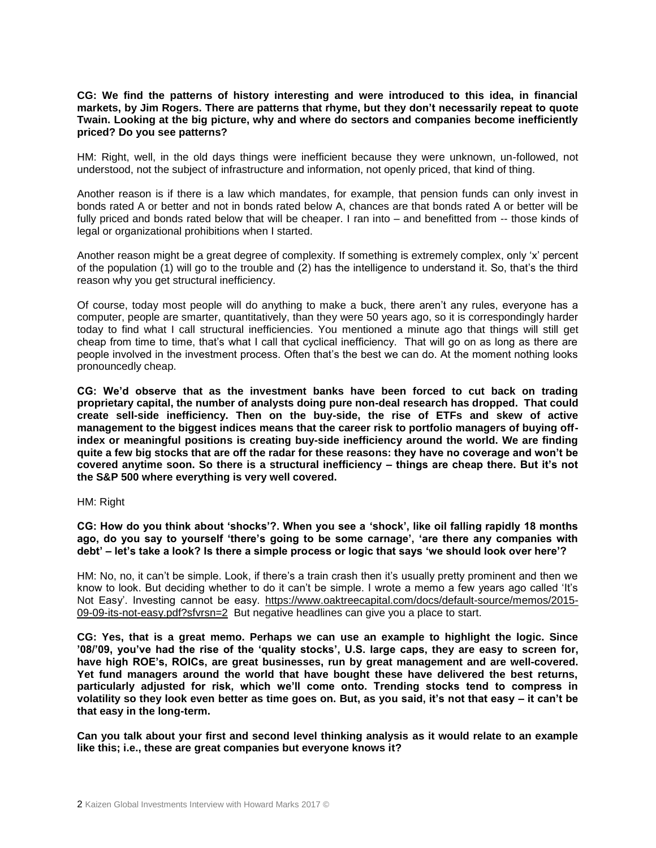**CG: We find the patterns of history interesting and were introduced to this idea, in financial markets, by Jim Rogers. There are patterns that rhyme, but they don't necessarily repeat to quote Twain. Looking at the big picture, why and where do sectors and companies become inefficiently priced? Do you see patterns?**

HM: Right, well, in the old days things were inefficient because they were unknown, un-followed, not understood, not the subject of infrastructure and information, not openly priced, that kind of thing.

Another reason is if there is a law which mandates, for example, that pension funds can only invest in bonds rated A or better and not in bonds rated below A, chances are that bonds rated A or better will be fully priced and bonds rated below that will be cheaper. I ran into – and benefitted from -- those kinds of legal or organizational prohibitions when I started.

Another reason might be a great degree of complexity. If something is extremely complex, only 'x' percent of the population (1) will go to the trouble and (2) has the intelligence to understand it. So, that's the third reason why you get structural inefficiency.

Of course, today most people will do anything to make a buck, there aren't any rules, everyone has a computer, people are smarter, quantitatively, than they were 50 years ago, so it is correspondingly harder today to find what I call structural inefficiencies. You mentioned a minute ago that things will still get cheap from time to time, that's what I call that cyclical inefficiency. That will go on as long as there are people involved in the investment process. Often that's the best we can do. At the moment nothing looks pronouncedly cheap.

**CG: We'd observe that as the investment banks have been forced to cut back on trading proprietary capital, the number of analysts doing pure non-deal research has dropped. That could create sell-side inefficiency. Then on the buy-side, the rise of ETFs and skew of active management to the biggest indices means that the career risk to portfolio managers of buying offindex or meaningful positions is creating buy-side inefficiency around the world. We are finding quite a few big stocks that are off the radar for these reasons: they have no coverage and won't be covered anytime soon. So there is a structural inefficiency – things are cheap there. But it's not the S&P 500 where everything is very well covered.** 

#### HM: Right

**CG: How do you think about 'shocks'?. When you see a 'shock', like oil falling rapidly 18 months ago, do you say to yourself 'there's going to be some carnage', 'are there any companies with debt' – let's take a look? Is there a simple process or logic that says 'we should look over here'?**

HM: No, no, it can't be simple. Look, if there's a train crash then it's usually pretty prominent and then we know to look. But deciding whether to do it can't be simple. I wrote a memo a few years ago called 'It's Not Easy'. Investing cannot be easy. [https://www.oaktreecapital.com/docs/default-source/memos/2015-](https://www.oaktreecapital.com/docs/default-source/memos/2015-09-09-its-not-easy.pdf?sfvrsn=2) [09-09-its-not-easy.pdf?sfvrsn=2](https://www.oaktreecapital.com/docs/default-source/memos/2015-09-09-its-not-easy.pdf?sfvrsn=2) But negative headlines can give you a place to start.

**CG: Yes, that is a great memo. Perhaps we can use an example to highlight the logic. Since '08/'09, you've had the rise of the 'quality stocks', U.S. large caps, they are easy to screen for, have high ROE's, ROICs, are great businesses, run by great management and are well-covered. Yet fund managers around the world that have bought these have delivered the best returns, particularly adjusted for risk, which we'll come onto. Trending stocks tend to compress in volatility so they look even better as time goes on. But, as you said, it's not that easy – it can't be that easy in the long-term.** 

**Can you talk about your first and second level thinking analysis as it would relate to an example like this; i.e., these are great companies but everyone knows it?**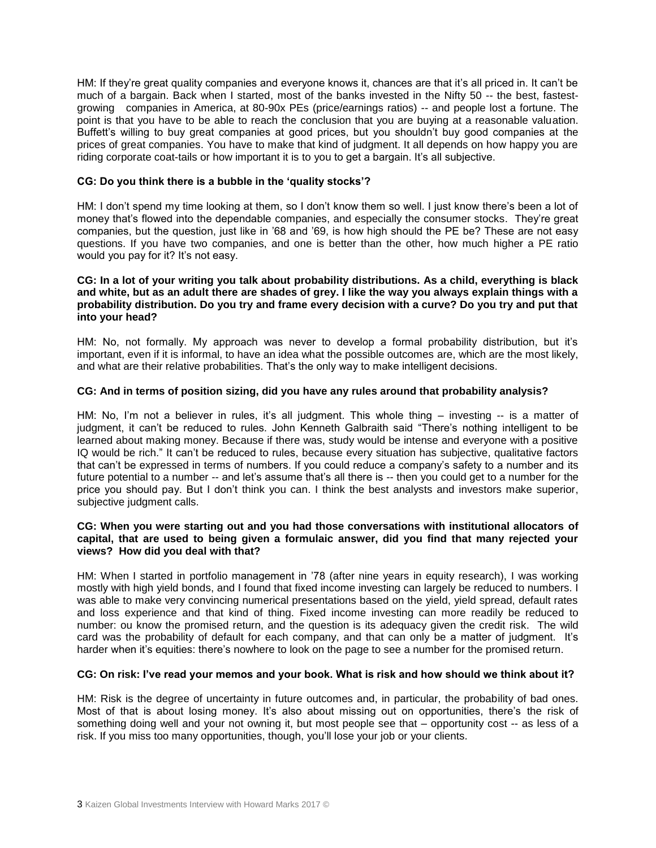HM: If they're great quality companies and everyone knows it, chances are that it's all priced in. It can't be much of a bargain. Back when I started, most of the banks invested in the Nifty 50 -- the best, fastestgrowing companies in America, at 80-90x PEs (price/earnings ratios) -- and people lost a fortune. The point is that you have to be able to reach the conclusion that you are buying at a reasonable valuation. Buffett's willing to buy great companies at good prices, but you shouldn't buy good companies at the prices of great companies. You have to make that kind of judgment. It all depends on how happy you are riding corporate coat-tails or how important it is to you to get a bargain. It's all subjective.

#### **CG: Do you think there is a bubble in the 'quality stocks'?**

HM: I don't spend my time looking at them, so I don't know them so well. I just know there's been a lot of money that's flowed into the dependable companies, and especially the consumer stocks. They're great companies, but the question, just like in '68 and '69, is how high should the PE be? These are not easy questions. If you have two companies, and one is better than the other, how much higher a PE ratio would you pay for it? It's not easy.

#### **CG: In a lot of your writing you talk about probability distributions. As a child, everything is black and white, but as an adult there are shades of grey. I like the way you always explain things with a probability distribution. Do you try and frame every decision with a curve? Do you try and put that into your head?**

HM: No, not formally. My approach was never to develop a formal probability distribution, but it's important, even if it is informal, to have an idea what the possible outcomes are, which are the most likely, and what are their relative probabilities. That's the only way to make intelligent decisions.

# **CG: And in terms of position sizing, did you have any rules around that probability analysis?**

HM: No, I'm not a believer in rules, it's all judgment. This whole thing – investing -- is a matter of judgment, it can't be reduced to rules. John Kenneth Galbraith said "There's nothing intelligent to be learned about making money. Because if there was, study would be intense and everyone with a positive IQ would be rich." It can't be reduced to rules, because every situation has subjective, qualitative factors that can't be expressed in terms of numbers. If you could reduce a company's safety to a number and its future potential to a number -- and let's assume that's all there is -- then you could get to a number for the price you should pay. But I don't think you can. I think the best analysts and investors make superior, subjective judgment calls.

#### **CG: When you were starting out and you had those conversations with institutional allocators of capital, that are used to being given a formulaic answer, did you find that many rejected your views? How did you deal with that?**

HM: When I started in portfolio management in '78 (after nine years in equity research), I was working mostly with high yield bonds, and I found that fixed income investing can largely be reduced to numbers. I was able to make very convincing numerical presentations based on the yield, yield spread, default rates and loss experience and that kind of thing. Fixed income investing can more readily be reduced to number: ou know the promised return, and the question is its adequacy given the credit risk. The wild card was the probability of default for each company, and that can only be a matter of judgment. It's harder when it's equities: there's nowhere to look on the page to see a number for the promised return.

#### **CG: On risk: I've read your memos and your book. What is risk and how should we think about it?**

HM: Risk is the degree of uncertainty in future outcomes and, in particular, the probability of bad ones. Most of that is about losing money. It's also about missing out on opportunities, there's the risk of something doing well and your not owning it, but most people see that – opportunity cost -- as less of a risk. If you miss too many opportunities, though, you'll lose your job or your clients.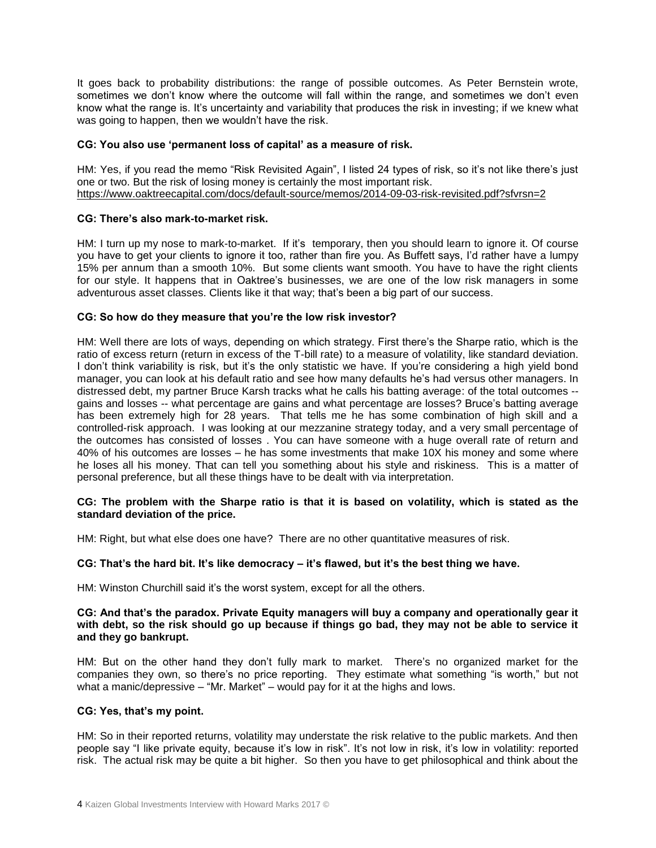It goes back to probability distributions: the range of possible outcomes. As Peter Bernstein wrote, sometimes we don't know where the outcome will fall within the range, and sometimes we don't even know what the range is. It's uncertainty and variability that produces the risk in investing; if we knew what was going to happen, then we wouldn't have the risk.

#### **CG: You also use 'permanent loss of capital' as a measure of risk.**

HM: Yes, if you read the memo "Risk Revisited Again", I listed 24 types of risk, so it's not like there's just one or two. But the risk of losing money is certainly the most important risk. <https://www.oaktreecapital.com/docs/default-source/memos/2014-09-03-risk-revisited.pdf?sfvrsn=2>

# **CG: There's also mark-to-market risk.**

HM: I turn up my nose to mark-to-market. If it's temporary, then you should learn to ignore it. Of course you have to get your clients to ignore it too, rather than fire you. As Buffett says, I'd rather have a lumpy 15% per annum than a smooth 10%. But some clients want smooth. You have to have the right clients for our style. It happens that in Oaktree's businesses, we are one of the low risk managers in some adventurous asset classes. Clients like it that way; that's been a big part of our success.

# **CG: So how do they measure that you're the low risk investor?**

HM: Well there are lots of ways, depending on which strategy. First there's the Sharpe ratio, which is the ratio of excess return (return in excess of the T-bill rate) to a measure of volatility, like standard deviation. I don't think variability is risk, but it's the only statistic we have. If you're considering a high yield bond manager, you can look at his default ratio and see how many defaults he's had versus other managers. In distressed debt, my partner Bruce Karsh tracks what he calls his batting average: of the total outcomes - gains and losses -- what percentage are gains and what percentage are losses? Bruce's batting average has been extremely high for 28 years. That tells me he has some combination of high skill and a controlled-risk approach. I was looking at our mezzanine strategy today, and a very small percentage of the outcomes has consisted of losses . You can have someone with a huge overall rate of return and 40% of his outcomes are losses – he has some investments that make 10X his money and some where he loses all his money. That can tell you something about his style and riskiness. This is a matter of personal preference, but all these things have to be dealt with via interpretation.

#### **CG: The problem with the Sharpe ratio is that it is based on volatility, which is stated as the standard deviation of the price.**

HM: Right, but what else does one have? There are no other quantitative measures of risk.

#### **CG: That's the hard bit. It's like democracy – it's flawed, but it's the best thing we have.**

HM: Winston Churchill said it's the worst system, except for all the others.

#### **CG: And that's the paradox. Private Equity managers will buy a company and operationally gear it with debt, so the risk should go up because if things go bad, they may not be able to service it and they go bankrupt.**

HM: But on the other hand they don't fully mark to market. There's no organized market for the companies they own, so there's no price reporting. They estimate what something "is worth," but not what a manic/depressive – "Mr. Market" – would pay for it at the highs and lows.

#### **CG: Yes, that's my point.**

HM: So in their reported returns, volatility may understate the risk relative to the public markets. And then people say "I like private equity, because it's low in risk". It's not low in risk, it's low in volatility: reported risk. The actual risk may be quite a bit higher. So then you have to get philosophical and think about the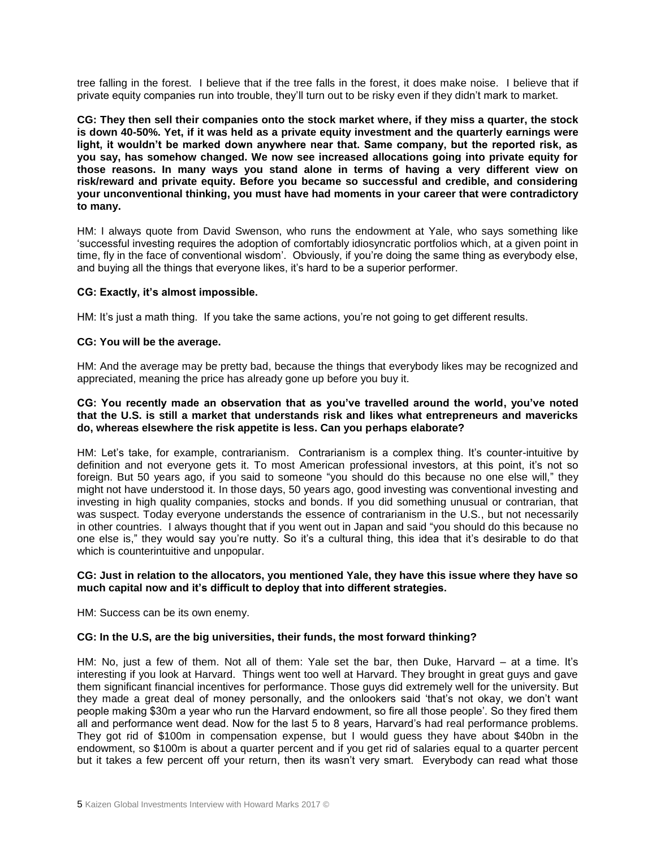tree falling in the forest. I believe that if the tree falls in the forest, it does make noise. I believe that if private equity companies run into trouble, they'll turn out to be risky even if they didn't mark to market.

**CG: They then sell their companies onto the stock market where, if they miss a quarter, the stock is down 40-50%. Yet, if it was held as a private equity investment and the quarterly earnings were light, it wouldn't be marked down anywhere near that. Same company, but the reported risk, as you say, has somehow changed. We now see increased allocations going into private equity for those reasons. In many ways you stand alone in terms of having a very different view on risk/reward and private equity. Before you became so successful and credible, and considering your unconventional thinking, you must have had moments in your career that were contradictory to many.** 

HM: I always quote from David Swenson, who runs the endowment at Yale, who says something like 'successful investing requires the adoption of comfortably idiosyncratic portfolios which, at a given point in time, fly in the face of conventional wisdom'. Obviously, if you're doing the same thing as everybody else, and buying all the things that everyone likes, it's hard to be a superior performer.

#### **CG: Exactly, it's almost impossible.**

HM: It's just a math thing. If you take the same actions, you're not going to get different results.

#### **CG: You will be the average.**

HM: And the average may be pretty bad, because the things that everybody likes may be recognized and appreciated, meaning the price has already gone up before you buy it.

#### **CG: You recently made an observation that as you've travelled around the world, you've noted that the U.S. is still a market that understands risk and likes what entrepreneurs and mavericks do, whereas elsewhere the risk appetite is less. Can you perhaps elaborate?**

HM: Let's take, for example, contrarianism. Contrarianism is a complex thing. It's counter-intuitive by definition and not everyone gets it. To most American professional investors, at this point, it's not so foreign. But 50 years ago, if you said to someone "you should do this because no one else will," they might not have understood it. In those days, 50 years ago, good investing was conventional investing and investing in high quality companies, stocks and bonds. If you did something unusual or contrarian, that was suspect. Today everyone understands the essence of contrarianism in the U.S., but not necessarily in other countries. I always thought that if you went out in Japan and said "you should do this because no one else is," they would say you're nutty. So it's a cultural thing, this idea that it's desirable to do that which is counterintuitive and unpopular.

#### **CG: Just in relation to the allocators, you mentioned Yale, they have this issue where they have so much capital now and it's difficult to deploy that into different strategies.**

HM: Success can be its own enemy.

#### **CG: In the U.S, are the big universities, their funds, the most forward thinking?**

HM: No, just a few of them. Not all of them: Yale set the bar, then Duke, Harvard – at a time. It's interesting if you look at Harvard. Things went too well at Harvard. They brought in great guys and gave them significant financial incentives for performance. Those guys did extremely well for the university. But they made a great deal of money personally, and the onlookers said 'that's not okay, we don't want people making \$30m a year who run the Harvard endowment, so fire all those people'. So they fired them all and performance went dead. Now for the last 5 to 8 years, Harvard's had real performance problems. They got rid of \$100m in compensation expense, but I would guess they have about \$40bn in the endowment, so \$100m is about a quarter percent and if you get rid of salaries equal to a quarter percent but it takes a few percent off your return, then its wasn't very smart. Everybody can read what those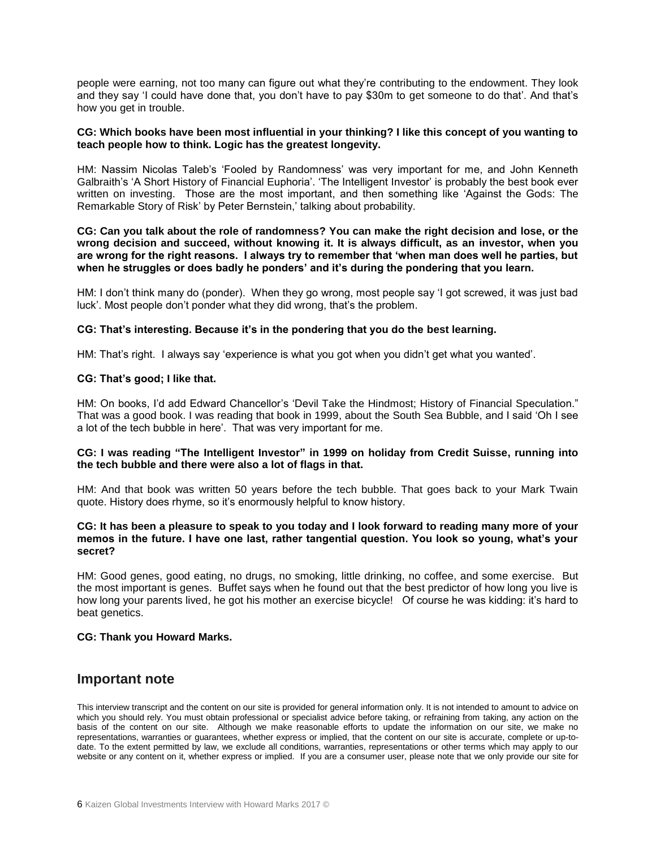people were earning, not too many can figure out what they're contributing to the endowment. They look and they say 'I could have done that, you don't have to pay \$30m to get someone to do that'. And that's how you get in trouble.

#### **CG: Which books have been most influential in your thinking? I like this concept of you wanting to teach people how to think. Logic has the greatest longevity.**

HM: Nassim Nicolas Taleb's 'Fooled by Randomness' was very important for me, and John Kenneth Galbraith's 'A Short History of Financial Euphoria'. 'The Intelligent Investor' is probably the best book ever written on investing. Those are the most important, and then something like 'Against the Gods: The Remarkable Story of Risk' by Peter Bernstein,' talking about probability.

#### **CG: Can you talk about the role of randomness? You can make the right decision and lose, or the wrong decision and succeed, without knowing it. It is always difficult, as an investor, when you are wrong for the right reasons. I always try to remember that 'when man does well he parties, but when he struggles or does badly he ponders' and it's during the pondering that you learn.**

HM: I don't think many do (ponder). When they go wrong, most people say 'I got screwed, it was just bad luck'. Most people don't ponder what they did wrong, that's the problem.

#### **CG: That's interesting. Because it's in the pondering that you do the best learning.**

HM: That's right. I always say 'experience is what you got when you didn't get what you wanted'.

#### **CG: That's good; I like that.**

HM: On books, I'd add Edward Chancellor's 'Devil Take the Hindmost; History of Financial Speculation." That was a good book. I was reading that book in 1999, about the South Sea Bubble, and I said 'Oh I see a lot of the tech bubble in here'. That was very important for me.

#### **CG: I was reading "The Intelligent Investor" in 1999 on holiday from Credit Suisse, running into the tech bubble and there were also a lot of flags in that.**

HM: And that book was written 50 years before the tech bubble. That goes back to your Mark Twain quote. History does rhyme, so it's enormously helpful to know history.

#### **CG: It has been a pleasure to speak to you today and I look forward to reading many more of your memos in the future. I have one last, rather tangential question. You look so young, what's your secret?**

HM: Good genes, good eating, no drugs, no smoking, little drinking, no coffee, and some exercise. But the most important is genes. Buffet says when he found out that the best predictor of how long you live is how long your parents lived, he got his mother an exercise bicycle! Of course he was kidding: it's hard to beat genetics.

#### **CG: Thank you Howard Marks.**

# **Important note**

This interview transcript and the content on our site is provided for general information only. It is not intended to amount to advice on which you should rely. You must obtain professional or specialist advice before taking, or refraining from taking, any action on the basis of the content on our site. Although we make reasonable efforts to update the information on our site, we make no representations, warranties or guarantees, whether express or implied, that the content on our site is accurate, complete or up-todate. To the extent permitted by law, we exclude all conditions, warranties, representations or other terms which may apply to our website or any content on it, whether express or implied. If you are a consumer user, please note that we only provide our site for